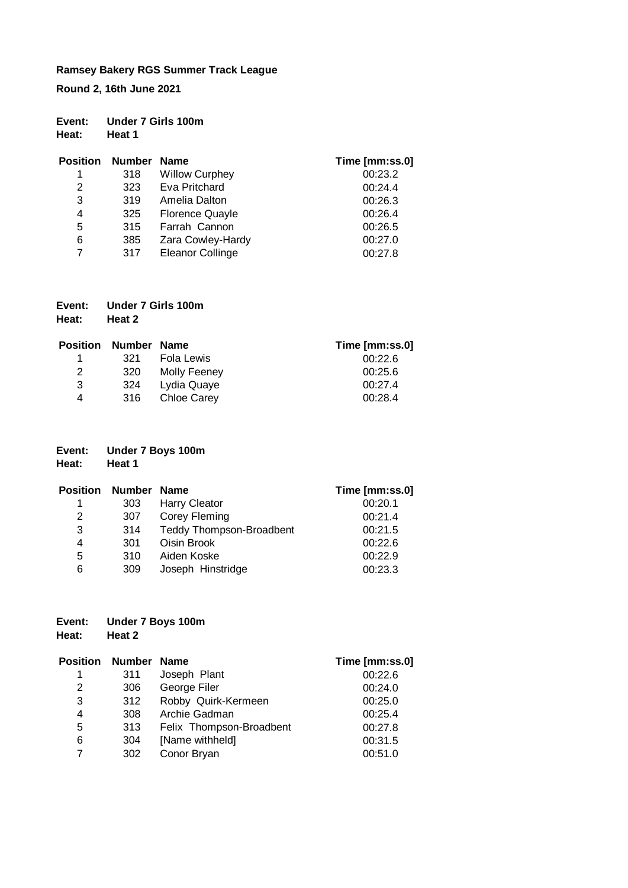**Round 2, 16th June 2021**

| Event: | Under 7 Girls 100m |
|--------|--------------------|
| Heat:  | Heat 1             |

| <b>Position</b> | Number Name |                         | Time [mm:ss.0] |
|-----------------|-------------|-------------------------|----------------|
| 1               | 318         | <b>Willow Curphey</b>   | 00:23.2        |
| 2               | 323         | Eva Pritchard           | 00:24.4        |
| 3               | 319         | Amelia Dalton           | 00:26.3        |
| 4               | 325         | <b>Florence Quayle</b>  | 00:26.4        |
| 5               | 315         | Farrah Cannon           | 00:26.5        |
| 6               | 385         | Zara Cowley-Hardy       | 00:27.0        |
| 7               | 317         | <b>Eleanor Collinge</b> | 00:27.8        |

| Event: | Under 7 Girls 100m |
|--------|--------------------|
| Heat:  | Heat 2             |

| <b>Position</b> | Number Name |              | Time [mm:ss.0] |
|-----------------|-------------|--------------|----------------|
| 1.              | 321         | Fola Lewis   | 00:22.6        |
| 2               | 320         | Molly Feeney | 00:25.6        |
| 3               | 324         | Lydia Quaye  | 00:27.4        |
| 4               | -316        | Chloe Carey  | 00:28.4        |

| Event: | Under 7 Boys 100m |  |
|--------|-------------------|--|
|        |                   |  |

| <b>Position</b> | Number Name |                                 | Time [mm:ss.0] |
|-----------------|-------------|---------------------------------|----------------|
| 1               | 303         | <b>Harry Cleator</b>            | 00:20.1        |
| 2               | 307         | <b>Corey Fleming</b>            | 00:21.4        |
| 3               | 314         | <b>Teddy Thompson-Broadbent</b> | 00:21.5        |
| 4               | 301         | Oisin Brook                     | 00:22.6        |
| 5               | 310         | Aiden Koske                     | 00:22.9        |
| 6               | 309         | Joseph Hinstridge               | 00:23.3        |

- **Event: Under 7 Boys 100m**
- **Heat: Heat 2**

| <b>Position</b> | <b>Number Name</b> |                          | Time [mm:ss.0] |
|-----------------|--------------------|--------------------------|----------------|
| 1               | 311                | Joseph Plant             | 00:22.6        |
| 2               | 306                | George Filer             | 00:24.0        |
| 3               | 312                | Robby Quirk-Kermeen      | 00:25.0        |
| 4               | 308                | Archie Gadman            | 00:25.4        |
| 5               | 313                | Felix Thompson-Broadbent | 00:27.8        |
| 6               | 304                | [Name withheld]          | 00:31.5        |
| 7               | 302                | Conor Bryan              | 00:51.0        |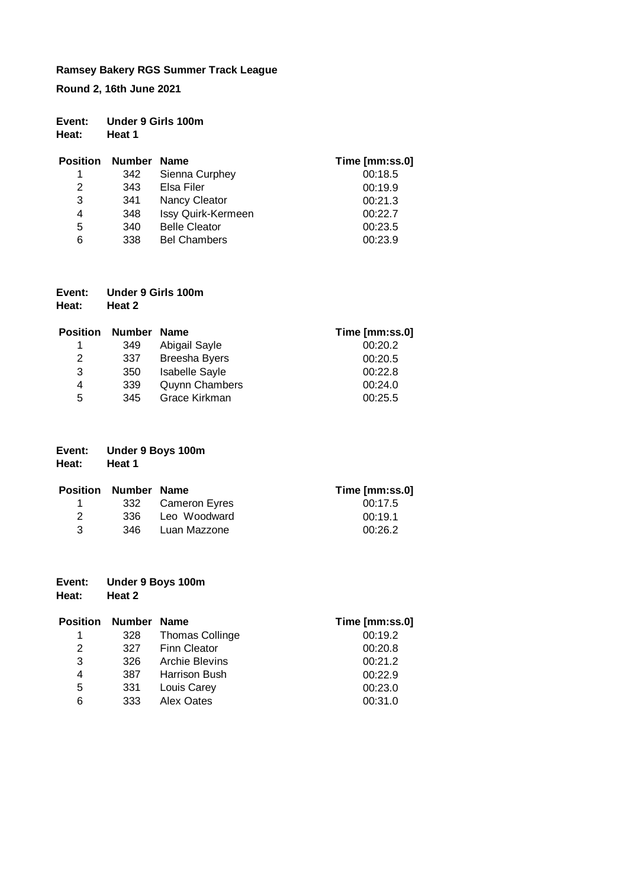**Round 2, 16th June 2021**

| Event: | Under 9 Girls 100m |
|--------|--------------------|
| Heat:  | Heat 1             |

| <b>Position</b> | Number Name |                      | Time [mm:ss.0] |
|-----------------|-------------|----------------------|----------------|
| 1               | 342         | Sienna Curphey       | 00:18.5        |
| 2               | 343         | Elsa Filer           | 00:19.9        |
| 3               | 341         | Nancy Cleator        | 00:21.3        |
| 4               | 348         | Issy Quirk-Kermeen   | 00:22.7        |
| 5               | 340         | <b>Belle Cleator</b> | 00:23.5        |
| 6               | 338         | <b>Bel Chambers</b>  | 00:23.9        |

| Event: | Under 9 Girls 100m |
|--------|--------------------|
| Heat:  | Heat 2             |

| <b>Position</b> | Number Name |                       | Time [mm:ss.0] |
|-----------------|-------------|-----------------------|----------------|
| 1.              | 349         | Abigail Sayle         | 00:20.2        |
| 2               | 337         | <b>Breesha Byers</b>  | 00:20.5        |
| 3               | 350         | <b>Isabelle Sayle</b> | 00:22.8        |
| 4               | 339         | <b>Quynn Chambers</b> | 00:24.0        |
| 5               | 345         | Grace Kirkman         | 00:25.5        |

| Event: | Under 9 Boys 100m |
|--------|-------------------|
| Heat:  | Heat 1            |

| <b>Position Number Name</b> |                   | Time [mm:ss.0] |
|-----------------------------|-------------------|----------------|
|                             | 332 Cameron Eyres | 00:17.5        |
| 2                           | 336 Leo Woodward  | 00:19.1        |
| 3                           | 346 Luan Mazzone  | 00:26.2        |

| Event: |  | Under 9 Boys 100m |  |
|--------|--|-------------------|--|
|--------|--|-------------------|--|

| <b>Position</b> | Number Name |                        | Time [mm:ss.0] |
|-----------------|-------------|------------------------|----------------|
|                 | 328         | <b>Thomas Collinge</b> | 00:19.2        |
| 2               | 327         | <b>Finn Cleator</b>    | 00:20.8        |
| 3               | 326         | <b>Archie Blevins</b>  | 00:21.2        |
| 4               | 387         | Harrison Bush          | 00:22.9        |
| 5               | 331         | Louis Carey            | 00:23.0        |
| 6               | 333         | Alex Oates             | 00:31.0        |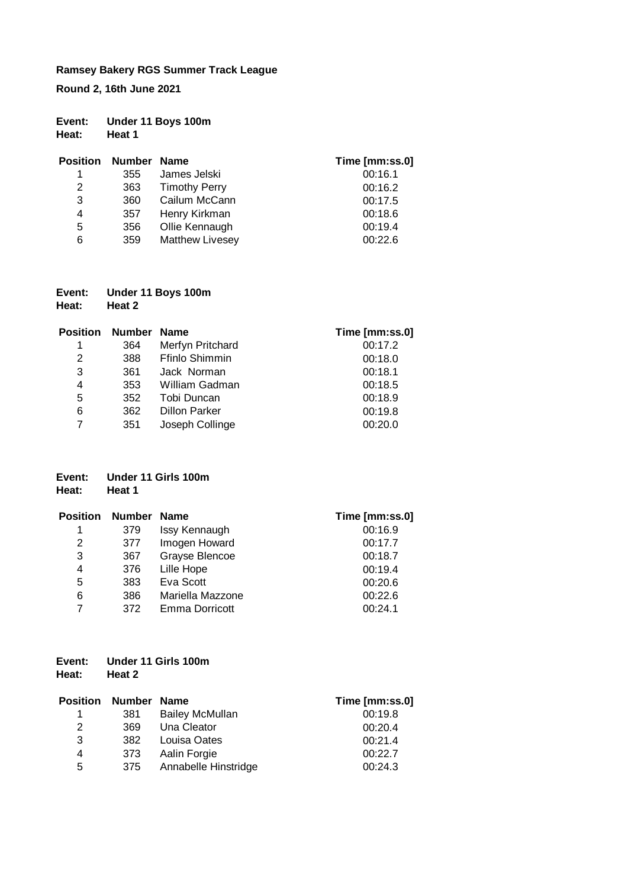**Round 2, 16th June 2021**

| Event: | Under 11 Boys 100m |
|--------|--------------------|
| Heat:  | Heat 1             |

| <b>Position</b> | Number Name |                        | Time [mm:ss.0] |
|-----------------|-------------|------------------------|----------------|
| 1               | 355         | James Jelski           | 00:16.1        |
| 2               | 363         | <b>Timothy Perry</b>   | 00:16.2        |
| 3               | 360         | Cailum McCann          | 00:17.5        |
| 4               | 357         | Henry Kirkman          | 00:18.6        |
| 5               | 356         | Ollie Kennaugh         | 00:19.4        |
| 6               | 359         | <b>Matthew Livesey</b> | 00:22.6        |

| Event: | Under 11 Boys 100m |
|--------|--------------------|
| Heat:  | Heat 2             |

| <b>Position</b> | Number Name |                      | Time [mm:ss.0] |
|-----------------|-------------|----------------------|----------------|
|                 | 364         | Merfyn Pritchard     | 00:17.2        |
| 2               | 388         | Ffinlo Shimmin       | 00:18.0        |
| 3               | 361         | Jack Norman          | 00:18.1        |
| 4               | 353         | William Gadman       | 00:18.5        |
| 5               | 352         | Tobi Duncan          | 00:18.9        |
| 6               | 362         | <b>Dillon Parker</b> | 00:19.8        |
| 7               | 351         | Joseph Collinge      | 00:20.0        |

## **Event: Under 11 Girls 100m**

**Heat: Heat 1**

| <b>Position</b> | Number Name |                       | Time [mm:ss.0] |
|-----------------|-------------|-----------------------|----------------|
| 1               | 379         | Issy Kennaugh         | 00:16.9        |
| 2               | 377         | Imogen Howard         | 00:17.7        |
| 3               | 367         | Grayse Blencoe        | 00:18.7        |
| 4               | 376         | Lille Hope            | 00:19.4        |
| 5               | 383         | Eva Scott             | 00:20.6        |
| 6               | 386         | Mariella Mazzone      | 00:22.6        |
| 7               | 372         | <b>Emma Dorricott</b> | 00:24.1        |

**Event: Under 11 Girls 100m Heat: Heat 2**

| Position | Number Name |                        | Time [mm:ss.0] |
|----------|-------------|------------------------|----------------|
| 1        | 381         | <b>Bailey McMullan</b> | 00:19.8        |
| 2        | 369         | Una Cleator            | 00:20.4        |
| 3        | 382         | Louisa Oates           | 00:21.4        |
| 4        | 373         | Aalin Forgie           | 00:22.7        |
| 5        | 375         | Annabelle Hinstridge   | 00:24.3        |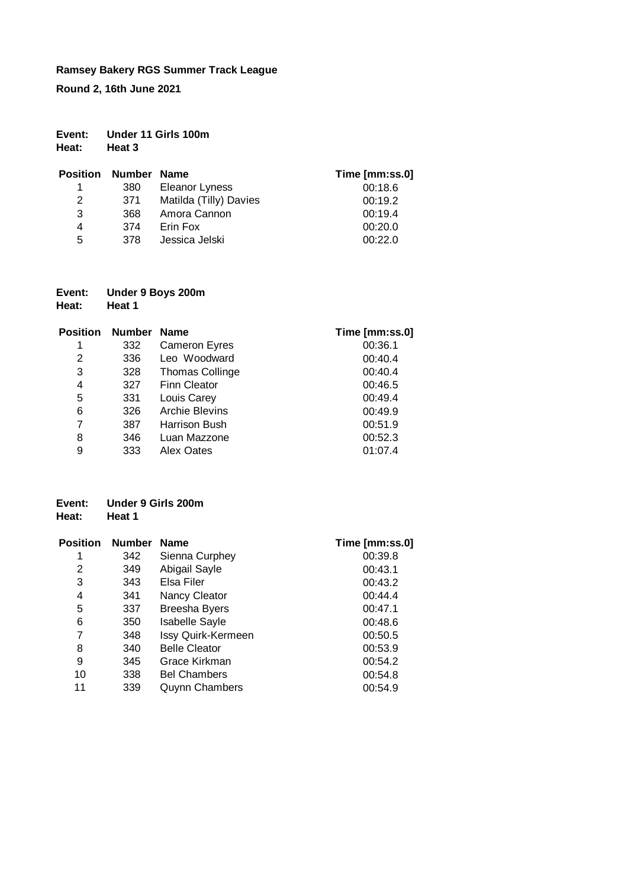**Round 2, 16th June 2021**

| Event: | Under 11 Girls 100m |  |  |
|--------|---------------------|--|--|
|--------|---------------------|--|--|

**Heat: Heat 3**

|    | <b>Position Number Name</b> |                        | Time [mm:ss.0] |
|----|-----------------------------|------------------------|----------------|
| 1. | 380                         | Eleanor Lyness         | 00:18.6        |
| 2  | 371                         | Matilda (Tilly) Davies | 00:19.2        |
| 3  | 368                         | Amora Cannon           | 00:19.4        |
| 4  | 374                         | Erin Fox               | 00:20.0        |
| 5  | 378                         | Jessica Jelski         | 00:22.0        |

| Event: | Under 9 Boys 200m |  |
|--------|-------------------|--|
|        |                   |  |

| <b>Position</b> | <b>Number</b> | <b>Name</b>            | Time [mm:ss.0] |
|-----------------|---------------|------------------------|----------------|
| 1               | 332           | <b>Cameron Eyres</b>   | 00:36.1        |
| 2               | 336           | Leo Woodward           | 00:40.4        |
| 3               | 328           | <b>Thomas Collinge</b> | 00:40.4        |
| 4               | 327           | <b>Finn Cleator</b>    | 00:46.5        |
| 5               | 331           | Louis Carey            | 00:49.4        |
| 6               | 326           | <b>Archie Blevins</b>  | 00:49.9        |
| 7               | 387           | Harrison Bush          | 00:51.9        |
| 8               | 346           | Luan Mazzone           | 00:52.3        |
| 9               | 333           | Alex Oates             | 01:07.4        |

| Event: | Under 9 Girls 200m |
|--------|--------------------|
| Heat:  | Heat 1             |

| <b>Position</b> | <b>Number</b> | <b>Name</b>           | Time [mm:ss.0] |
|-----------------|---------------|-----------------------|----------------|
| 1               | 342           | Sienna Curphey        | 00:39.8        |
| 2               | 349           | Abigail Sayle         | 00:43.1        |
| 3               | 343           | Elsa Filer            | 00:43.2        |
| 4               | 341           | Nancy Cleator         | 00:44.4        |
| 5               | 337           | <b>Breesha Byers</b>  | 00:47.1        |
| 6               | 350           | Isabelle Sayle        | 00:48.6        |
| 7               | 348           | Issy Quirk-Kermeen    | 00:50.5        |
| 8               | 340           | <b>Belle Cleator</b>  | 00:53.9        |
| 9               | 345           | Grace Kirkman         | 00:54.2        |
| 10              | 338           | <b>Bel Chambers</b>   | 00:54.8        |
| 11              | 339           | <b>Quynn Chambers</b> | 00:54.9        |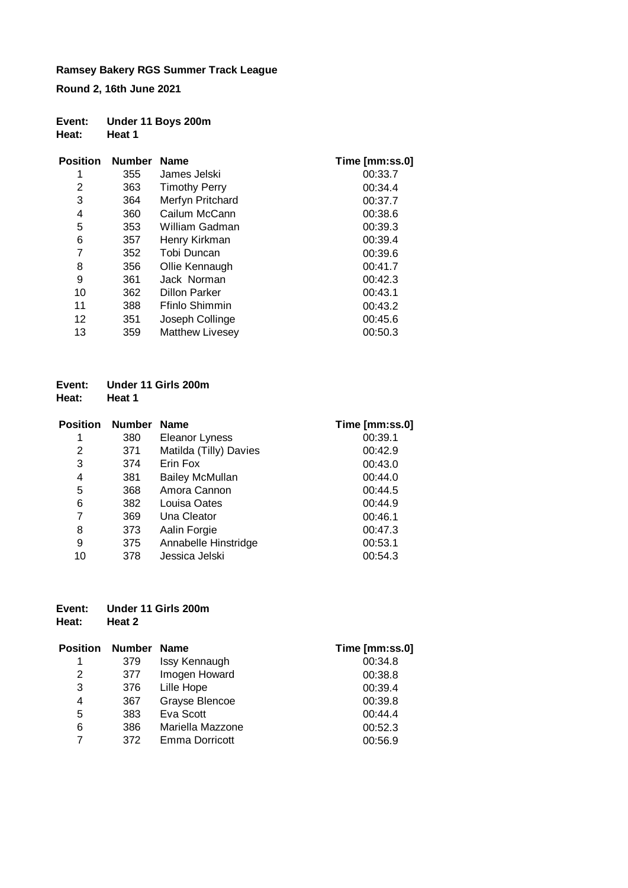**Round 2, 16th June 2021**

### **Event: Under 11 Boys 200m Heat: Heat 1**

| <b>Position</b> | <b>Number</b> | <b>Name</b>            | Time [mm:ss.0] |
|-----------------|---------------|------------------------|----------------|
| 1               | 355           | James Jelski           | 00:33.7        |
| 2               | 363           | <b>Timothy Perry</b>   | 00:34.4        |
| 3               | 364           | Merfyn Pritchard       | 00:37.7        |
| 4               | 360           | Cailum McCann          | 00:38.6        |
| 5               | 353           | William Gadman         | 00:39.3        |
| 6               | 357           | Henry Kirkman          | 00:39.4        |
| 7               | 352           | Tobi Duncan            | 00:39.6        |
| 8               | 356           | Ollie Kennaugh         | 00:41.7        |
| 9               | 361           | Jack Norman            | 00:42.3        |
| 10              | 362           | <b>Dillon Parker</b>   | 00:43.1        |
| 11              | 388           | Ffinlo Shimmin         | 00:43.2        |
| 12              | 351           | Joseph Collinge        | 00:45.6        |
| 13              | 359           | <b>Matthew Livesey</b> | 00:50.3        |

# **Event: Under 11 Girls 200m**

**Heat: Heat 1**

| <b>Position</b> | <b>Number</b> | <b>Name</b>            | Time [mm:ss.0] |
|-----------------|---------------|------------------------|----------------|
|                 | 380           | <b>Eleanor Lyness</b>  | 00:39.1        |
| 2               | 371           | Matilda (Tilly) Davies | 00:42.9        |
| 3               | 374           | Erin Fox               | 00:43.0        |
| 4               | 381           | <b>Bailey McMullan</b> | 00:44.0        |
| 5               | 368           | Amora Cannon           | 00:44.5        |
| 6               | 382           | Louisa Oates           | 00:44.9        |
| 7               | 369           | Una Cleator            | 00:46.1        |
| 8               | 373           | Aalin Forgie           | 00:47.3        |
| 9               | 375           | Annabelle Hinstridge   | 00:53.1        |
| 10              | 378           | Jessica Jelski         | 00:54.3        |

# **Event: Under 11 Girls 200m**

| <b>Position</b> | Number Name |                  | Time [mm:ss.0] |
|-----------------|-------------|------------------|----------------|
| 1               | 379         | Issy Kennaugh    | 00:34.8        |
| 2               | 377         | Imogen Howard    | 00:38.8        |
| 3               | 376         | Lille Hope       | 00:39.4        |
| 4               | 367         | Grayse Blencoe   | 00:39.8        |
| 5               | 383         | Eva Scott        | 00:44.4        |
| 6               | 386         | Mariella Mazzone | 00:52.3        |
| 7               | 372         | Emma Dorricott   | 00:56.9        |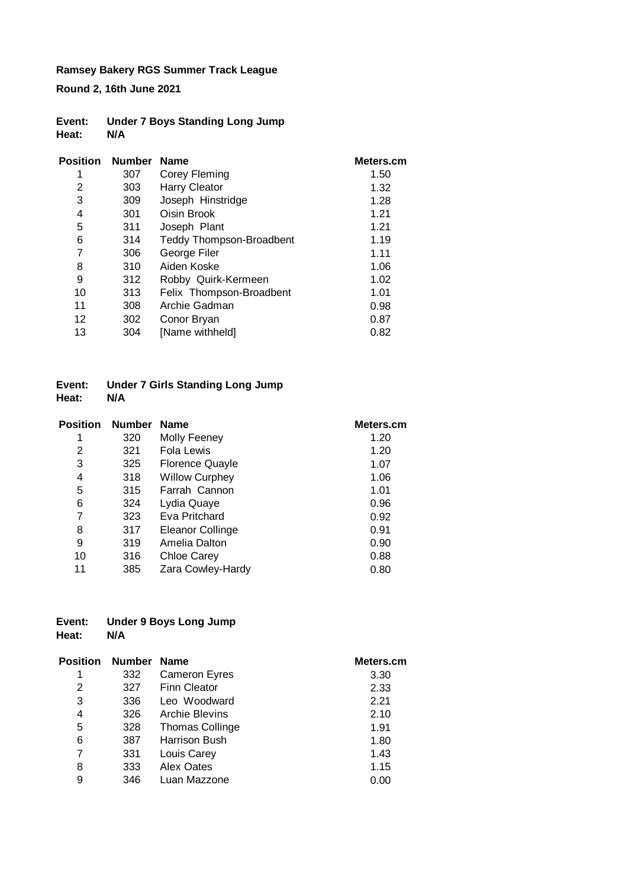**Round 2, 16th June 2021**

| Event: | <b>Under 7 Boys Standing Long Jump</b> |
|--------|----------------------------------------|
| Heat:  | N/A                                    |

| <b>Position</b> | <b>Number</b> | <b>Name</b>                     | Meters.cm |
|-----------------|---------------|---------------------------------|-----------|
| 1               | 307           | Corey Fleming                   | 1.50      |
| 2               | 303           | <b>Harry Cleator</b>            | 1.32      |
| 3               | 309           | Joseph Hinstridge               | 1.28      |
| 4               | 301           | Oisin Brook                     | 1.21      |
| 5               | 311           | Joseph Plant                    | 1.21      |
| 6               | 314           | <b>Teddy Thompson-Broadbent</b> | 1.19      |
| 7               | 306           | George Filer                    | 1.11      |
| 8               | 310           | Aiden Koske                     | 1.06      |
| 9               | 312           | Robby Quirk-Kermeen             | 1.02      |
| 10              | 313           | Felix Thompson-Broadbent        | 1.01      |
| 11              | 308           | Archie Gadman                   | 0.98      |
| 12              | 302           | Conor Bryan                     | 0.87      |
| 13              | 304           | [Name withheld]                 | 0.82      |

### **Event: Under 7 Girls Standing Long Jump Heat:**

| <b>Position</b> | <b>Number</b> | <b>Name</b>            | Meters.cm |
|-----------------|---------------|------------------------|-----------|
|                 | 320           | Molly Feeney           | 1.20      |
| 2               | 321           | Fola Lewis             | 1.20      |
| 3               | 325           | <b>Florence Quayle</b> | 1.07      |
| 4               | 318           | <b>Willow Curphey</b>  | 1.06      |
| 5               | 315           | Farrah Cannon          | 1.01      |
| 6               | 324           | Lydia Quaye            | 0.96      |
| 7               | 323           | Eva Pritchard          | 0.92      |
| 8               | 317           | Eleanor Collinge       | 0.91      |
| 9               | 319           | Amelia Dalton          | 0.90      |
| 10              | 316           | <b>Chloe Carey</b>     | 0.88      |
| 11              | 385           | Zara Cowley-Hardy      | 0.80      |

# **Event: Under 9 Boys Long Jump**

**Heat: N/A**

| <b>Position</b> | <b>Number</b> | <b>Name</b>            | Meters.cm |
|-----------------|---------------|------------------------|-----------|
| 1               | 332           | <b>Cameron Eyres</b>   | 3.30      |
| 2               | 327           | <b>Finn Cleator</b>    | 2.33      |
| 3               | 336           | Leo Woodward           | 2.21      |
| 4               | 326           | <b>Archie Blevins</b>  | 2.10      |
| 5               | 328           | <b>Thomas Collinge</b> | 1.91      |
| 6               | 387           | Harrison Bush          | 1.80      |
| 7               | 331           | Louis Carey            | 1.43      |
| 8               | 333           | Alex Oates             | 1.15      |
| 9               | 346           | Luan Mazzone           | 0.00      |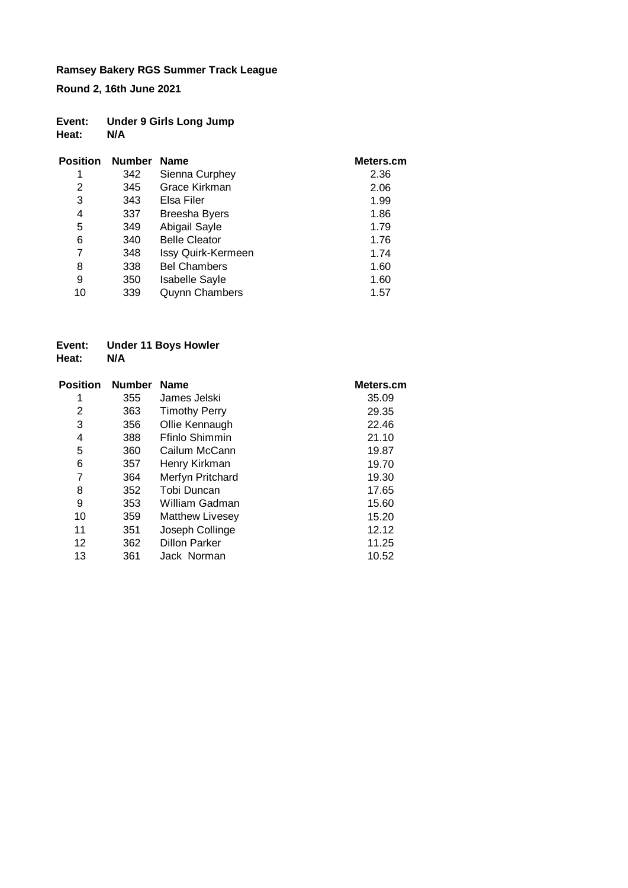**Round 2, 16th June 2021**

## **Event: Under 9 Girls Long Jump Heat:**

| <b>Position</b> | <b>Number</b> | <b>Name</b>           | Meters.cm |
|-----------------|---------------|-----------------------|-----------|
| 1               | 342           | Sienna Curphey        | 2.36      |
| 2               | 345           | Grace Kirkman         | 2.06      |
| 3               | 343           | Elsa Filer            | 1.99      |
| 4               | 337           | <b>Breesha Byers</b>  | 1.86      |
| 5               | 349           | Abigail Sayle         | 1.79      |
| 6               | 340           | <b>Belle Cleator</b>  | 1.76      |
| 7               | 348           | Issy Quirk-Kermeen    | 1.74      |
| 8               | 338           | <b>Bel Chambers</b>   | 1.60      |
| 9               | 350           | <b>Isabelle Sayle</b> | 1.60      |
| 10              | 339           | <b>Quynn Chambers</b> | 1.57      |

### **Event: Under 11 Boys Howler Heat:**

| <b>Position</b> | <b>Number</b> | <b>Name</b>            | Meters.cm |
|-----------------|---------------|------------------------|-----------|
| 1               | 355           | James Jelski           | 35.09     |
| 2               | 363           | <b>Timothy Perry</b>   | 29.35     |
| 3               | 356           | Ollie Kennaugh         | 22.46     |
| 4               | 388           | Ffinlo Shimmin         | 21.10     |
| 5               | 360           | Cailum McCann          | 19.87     |
| 6               | 357           | Henry Kirkman          | 19.70     |
| 7               | 364           | Merfyn Pritchard       | 19.30     |
| 8               | 352           | Tobi Duncan            | 17.65     |
| 9               | 353           | William Gadman         | 15.60     |
| 10              | 359           | <b>Matthew Livesey</b> | 15.20     |
| 11              | 351           | Joseph Collinge        | 12.12     |
| 12              | 362           | <b>Dillon Parker</b>   | 11.25     |
| 13              | 361           | Jack Norman            | 10.52     |